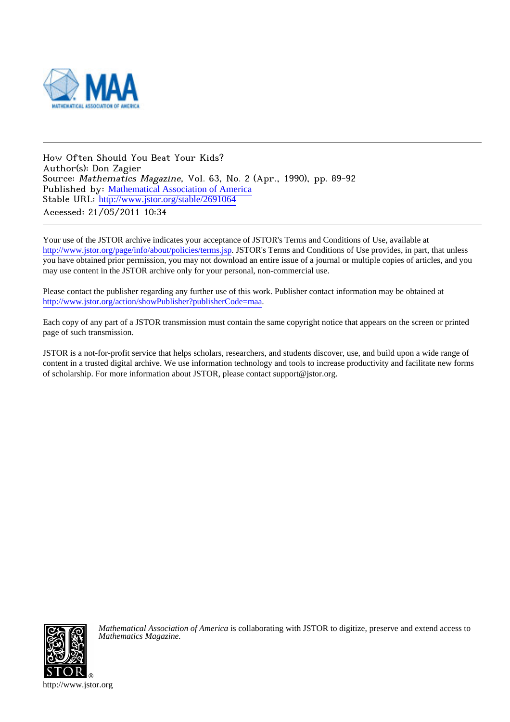

How Often Should You Beat Your Kids? Author(s): Don Zagier Source: Mathematics Magazine, Vol. 63, No. 2 (Apr., 1990), pp. 89-92 Published by: [Mathematical Association of America](http://www.jstor.org/action/showPublisher?publisherCode=maa) Stable URL: [http://www.jstor.org/stable/2691064](http://www.jstor.org/stable/2691064?origin=JSTOR-pdf) Accessed: 21/05/2011 10:34

Your use of the JSTOR archive indicates your acceptance of JSTOR's Terms and Conditions of Use, available at <http://www.jstor.org/page/info/about/policies/terms.jsp>. JSTOR's Terms and Conditions of Use provides, in part, that unless you have obtained prior permission, you may not download an entire issue of a journal or multiple copies of articles, and you may use content in the JSTOR archive only for your personal, non-commercial use.

Please contact the publisher regarding any further use of this work. Publisher contact information may be obtained at [http://www.jstor.org/action/showPublisher?publisherCode=maa.](http://www.jstor.org/action/showPublisher?publisherCode=maa) .

Each copy of any part of a JSTOR transmission must contain the same copyright notice that appears on the screen or printed page of such transmission.

JSTOR is a not-for-profit service that helps scholars, researchers, and students discover, use, and build upon a wide range of content in a trusted digital archive. We use information technology and tools to increase productivity and facilitate new forms of scholarship. For more information about JSTOR, please contact support@jstor.org.



*Mathematical Association of America* is collaborating with JSTOR to digitize, preserve and extend access to *Mathematics Magazine.*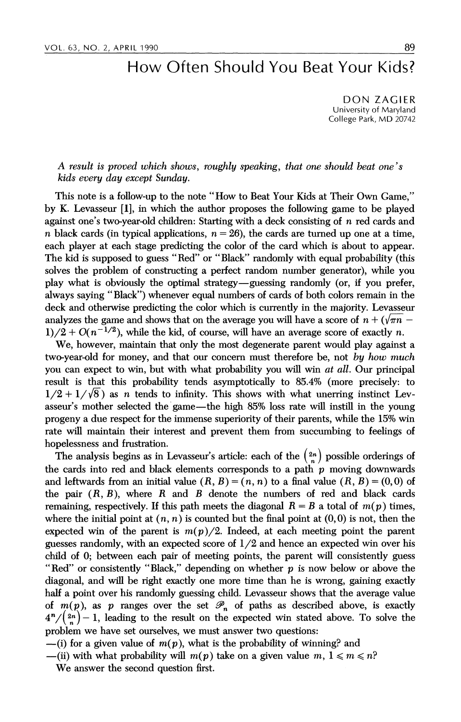## How Often Should You Beat Your Kids?

DON ZAGIER University of Maryland College Park, MD 20742

## A result is proved which shows, roughly speaking, that one should beat one's kids every day except Sunday.

This note is a follow-up to the note "How to Beat Your Kids at Their Own Game," by K. Levasseur [1], in which the author proposes the following game to be played against one's two-year-old children: Starting with a deck consisting of n red cards and n black cards (in typical applications,  $n = 26$ ), the cards are turned up one at a time, each player at each stage predicting the color of the card which is about to appear. The kid is supposed to guess "Red" or "Black" randomly with equal probability (this solves the problem of constructing a perfect random number generator), while you play what is obviously the optimal strategy-guessing randomly (or, if you prefer, always saying "Black") whenever equal numbers of cards of both colors remain in the deck and otherwise predicting the color which is currently in the majority. Levasseur analyzes the game and shows that on the average you will have a score of  $n + (\sqrt{\pi n} 1/2 + O(n^{-1/2})$ , while the kid, of course, will have an average score of exactly n.

We, however, maintain that only the most degenerate parent would play against a two-year-old for money, and that our concern must therefore be, not by how much you can expect to win, but with what probability you will win *at all*. Our principal result is that this probability tends asymptotically to 85.4% (more precisely: to  $1/2 + 1/\sqrt{8}$  as n tends to infinity. This shows with what unerring instinct Levasseur's mother selected the game-the high 85% loss rate will instill in the young progeny a due respect for the immense superiority of their parents, while the 15% win rate will maintain their interest and prevent them from succumbing to feelings of hopelessness and frustration.

The analysis begins as in Levasseur's article: each of the  $\binom{2n}{n}$  possible orderings of the cards into red and black elements corresponds to a path  $p$  moving downwards and leftwards from an initial value  $(R, B) = (n, n)$  to a final value  $(R, B) = (0, 0)$  of the pair  $(R, B)$ , where R and B denote the numbers of red and black cards remaining, respectively. If this path meets the diagonal  $R = B$  a total of  $m(p)$  times, where the initial point at  $(n, n)$  is counted but the final point at  $(0, 0)$  is not, then the expected win of the parent is  $m(p)/2$ . Indeed, at each meeting point the parent guesses randomly, with an expected score of  $1/2$  and hence an expected win over his child of 0; between each pair of meeting points, the parent will consistently guess "Red" or consistently "Black," depending on whether  $p$  is now below or above the diagonal, and will be right exactly one more time than he is wrong, gaining exactly half a point over his randomly guessing child. Levasseur shows that the average value of  $m(p)$ , as p ranges over the set  $\mathscr{P}_n$  of paths as described above, is exactly  $4^{n}/(\frac{2n}{n})-1$ , leading to the result on the expected win stated above. To solve the problem we have set ourselves, we must answer two questions:

 $-$ (i) for a given value of  $m(p)$ , what is the probability of winning? and

-(ii) with what probability will  $m(p)$  take on a given value  $m, 1 \leqslant m \leqslant n$ ?

We answer the second question first.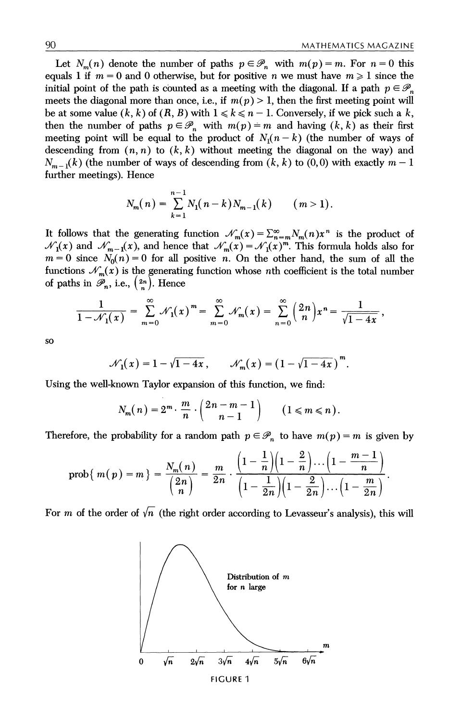Let  $N_m(n)$  denote the number of paths  $p \in \mathcal{P}_n$  with  $m(p) = m$ . For  $n = 0$  this equals 1 if  $m = 0$  and 0 otherwise, but for positive n we must have  $m \ge 1$  since the initial point of the path is counted as a meeting with the diagonal. If a path  $p \in \mathcal{P}_n$ meets the diagonal more than once, i.e., if  $m(p) > 1$ , then the first meeting point will be at some value  $(k, k)$  of  $(R, B)$  with  $1 \leq k \leq n-1$ . Conversely, if we pick such a k, then the number of paths  $p \in \mathcal{P}_n$  with  $m(p) = m$  and having  $(k, k)$  as their first meeting point will be equal to the product of  $N_1(n-k)$  (the number of ways of descending from  $(n, n)$  to  $(k, k)$  without meeting the diagonal on the way) and  $N_{m-1}(k)$  (the number of ways of descending from  $(k, k)$  to  $(0, 0)$  with exactly  $m-1$ further meetings). Hence

$$
N_m(n) = \sum_{k=1}^{n-1} N_1(n-k) N_{m-1}(k) \qquad (m>1).
$$

It follows that the generating function  $\mathcal{N}_m(x) = \sum_{n=m}^{\infty} N_m(n)x^n$  is the product of  $\mathcal{N}_1(x)$  and  $\mathcal{N}_{m-1}(x)$ , and hence that  $\mathcal{N}_m(x) = \mathcal{N}_1(x)^m$ . This formula holds also for  $m = 0$  since  $N_0(n) = 0$  for all positive n. On the other hand, the sum of all the functions  $\mathcal{N}_m(x)$  is the generating function whose *n*th coefficient is the total number of paths in  $\mathscr{P}_n$ , i.e.,  $\binom{2n}{n}$ . Hence

$$
\frac{1}{1-\mathcal{N}_1(x)}=\sum_{m=0}^{\infty}\mathcal{N}_1(x)^m=\sum_{m=0}^{\infty}\mathcal{N}_m(x)=\sum_{n=0}^{\infty}\binom{2n}{n}x^n=\frac{1}{\sqrt{1-4x}},
$$

so

$$
\mathcal{N}_1(x) = 1 - \sqrt{1 - 4x}, \qquad \mathcal{N}_m(x) = (1 - \sqrt{1 - 4x})^m.
$$

Using the well-known Taylor expansion of this function, we find:

$$
N_m(n) = 2^m \cdot \frac{m}{n} \cdot \binom{2n-m-1}{n-1} \qquad (1 \leq m \leq n).
$$

Therefore, the probability for a random path  $p \in \mathcal{P}_n$  to have  $m(p) = m$  is given by

$$
\operatorname{prob}\{|m(p)=m\}=\frac{N_m(n)}{{2n \choose n}}=\frac{m}{2n}\cdot\frac{\left(1-\frac{1}{n}\right)\left(1-\frac{2}{n}\right)\dots\left(1-\frac{m-1}{n}\right)}{\left(1-\frac{1}{2n}\right)\left(1-\frac{2}{2n}\right)\dots\left(1-\frac{m}{2n}\right)}.
$$

For m of the order of  $\sqrt{n}$  (the right order according to Levasseur's analysis), this will

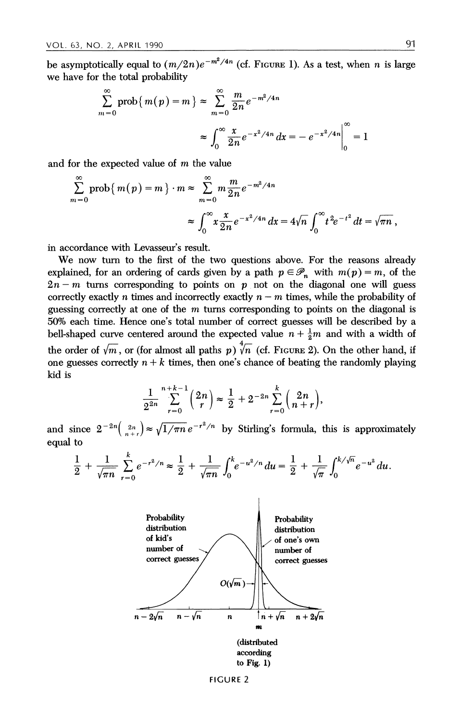be asymptotically equal to  $(m/2n)e^{-m^2/4n}$  (cf. FIGURE 1). As a test, when n is large we have for the total probability

$$
\sum_{m=0}^{\infty} \text{prob}\{m(p) = m\} \approx \sum_{m=0}^{\infty} \frac{m}{2n} e^{-m^2/4n}
$$

$$
\approx \int_0^{\infty} \frac{x}{2n} e^{-x^2/4n} dx = -e^{-x^2/4n} \Big|_0^{\infty} = 1
$$

and for the expected value of m the value

$$
\sum_{m=0}^{\infty} \operatorname{prob}\left\{m(p) = m\right\} \cdot m \approx \sum_{m=0}^{\infty} m \frac{m}{2n} e^{-m^2/4n}
$$

$$
\approx \int_0^{\infty} x \frac{x}{2n} e^{-x^2/4n} dx = 4\sqrt{n} \int_0^{\infty} t^2 e^{-t^2} dt = \sqrt{\pi n},
$$

in accordance with Levasseur's result.

We now turn to the first of the two questions above. For the reasons already explained, for an ordering of cards given by a path  $p \in \mathcal{P}_n$  with  $m(p) = m$ , of the  $2n - m$  turns corresponding to points on p not on the diagonal one will guess correctly exactly n times and incorrectly exactly  $n - m$  times, while the probability of guessing correctly at one of the  $m$  turns corresponding to points on the diagonal is 50% each time. Hence one's total number of correct guesses will be described by a bell-shaped curve centered around the expected value  $n + \frac{1}{2}m$  and with a width of the order of  $\sqrt{m}$ , or (for almost all paths p)  $\sqrt[4]{n}$  (cf. FIGURE 2). On the other hand, if one guesses correctly  $n+k$  times, then one's chance of beating the randomly playing kid is

$$
\frac{1}{2^{2n}}\sum_{r=0}^{n+k-1} \binom{2n}{r} \approx \frac{1}{2} + 2^{-2n} \sum_{r=0}^{k} \binom{2n}{n+r},
$$

and since  $2^{-2n}\left(\frac{2n}{n+r}\right) \approx \sqrt{1/\pi n} e^{-r^2/n}$  by Stirling's formula, this is approximately equal to

$$
\frac{1}{2} + \frac{1}{\sqrt{\pi n}} \sum_{r=0}^{k} e^{-r^2/n} \approx \frac{1}{2} + \frac{1}{\sqrt{\pi n}} \int_0^k e^{-u^2/n} du = \frac{1}{2} + \frac{1}{\sqrt{\pi}} \int_0^{k/\sqrt{n}} e^{-u^2} du.
$$



FIGURE 2